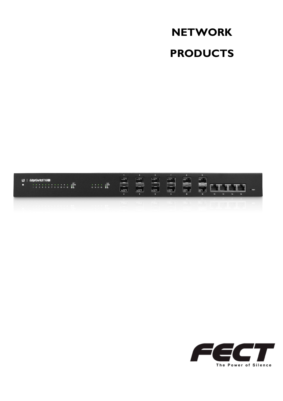### **NETWORK PRODUCTS**



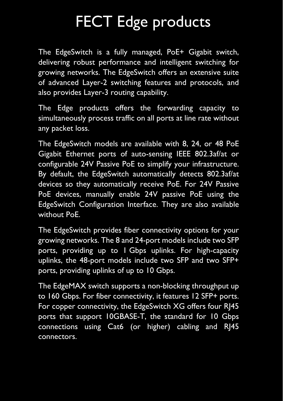# FECT Edge products

The EdgeSwitch is a fully managed, PoE+ Gigabit switch, delivering robust performance and intelligent switching for growing networks. The EdgeSwitch offers an extensive suite of advanced Layer-2 switching features and protocols, and also provides Layer-3 routing capability.

The Edge products offers the forwarding capacity to simultaneously process traffic on all ports at line rate without any packet loss.

The EdgeSwitch models are available with 8, 24, or 48 PoE Gigabit Ethernet ports of auto-sensing IEEE 802.3af/at or configurable 24V Passive PoE to simplify your infrastructure. By default, the EdgeSwitch automatically detects 802.3af/at devices so they automatically receive PoE. For 24V Passive PoE devices, manually enable 24V passive PoE using the EdgeSwitch Configuration Interface. They are also available without PoE.

The EdgeSwitch provides fiber connectivity options for your growing networks. The 8 and 24-port models include two SFP ports, providing up to 1 Gbps uplinks. For high-capacity uplinks, the 48-port models include two SFP and two SFP+ ports, providing uplinks of up to 10 Gbps.

The EdgeMAX switch supports a non-blocking throughput up to 160 Gbps. For fiber connectivity, it features 12 SFP+ ports. For copper connectivity, the EdgeSwitch XG offers four RJ45 ports that support 10GBASE-T, the standard for 10 Gbps connections using Cat6 (or higher) cabling and RJ45 connectors.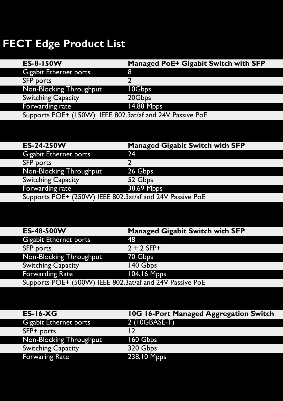### **FECT Edge Product List**

| ES-8-150W                                                | Managed PoE+ Gigabit Switch with SFP |
|----------------------------------------------------------|--------------------------------------|
| <b>Gigabit Ethernet ports</b>                            | 8                                    |
| <b>SFP</b> ports                                         |                                      |
| Non-Blocking Throughput                                  | 10Gbps                               |
| <b>Switching Capacity</b>                                | 20Gbps                               |
| Forwarding rate                                          | 14,88 Mpps                           |
| Supports POE+ (150W) IEEE 802.3at/af and 24V Passive PoE |                                      |

| ES-24-250W                                               | <b>Managed Gigabit Switch with SFP</b> |  |  |
|----------------------------------------------------------|----------------------------------------|--|--|
| Gigabit Ethernet ports                                   | 24                                     |  |  |
| <b>SFP</b> ports                                         |                                        |  |  |
| Non-Blocking Throughput                                  | 26 Gbps                                |  |  |
| <b>Switching Capacity</b>                                | 52 Gbps                                |  |  |
| Forwarding rate                                          | 38,69 Mpps                             |  |  |
| Supports POE+ (250W) IEEE 802.3at/af and 24V Passive PoE |                                        |  |  |

| ES-48-500W                                               | <b>Managed Gigabit Switch with SFP</b> |
|----------------------------------------------------------|----------------------------------------|
| Gigabit Ethernet ports                                   | 48                                     |
| SFP ports                                                | $2 + 2$ SFP+                           |
| Non-Blocking Throughput                                  | 70 Gbps                                |
| <b>Switching Capacity</b>                                | 140 Gbps                               |
| <b>Forwarding Rate</b>                                   | 104,16 Mpps                            |
| Supports POE+ (500W) IEEE 802.3at/af and 24V Passive PoE |                                        |

| <b>ES-16-XG</b>               | 10G 16-Port Managed Aggregation Switch |
|-------------------------------|----------------------------------------|
| <b>Gigabit Ethernet ports</b> | 2 (10GBASE-T)                          |
| SFP+ ports                    | 12                                     |
| Non-Blocking Throughput       | 160 Gbps                               |
| <b>Switching Capacity</b>     | 320 Gbps                               |
| <b>Forwaring Rate</b>         | 238,10 Mpps                            |